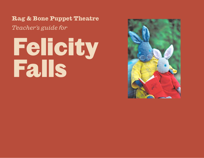**Rag & Bone Puppet Theatre**

*Teacher's guide for*

# Felicity Falls

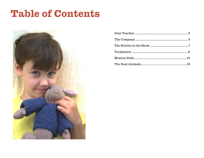### **Table of Contents**

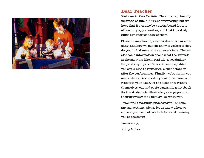<span id="page-2-0"></span>

#### **Dear Teacher**

Welcome to *Felicity Falls.* The show is primarily meant to be fun, funny and interesting, but we hope that it can also be a springboard for lots of learning opportunities, and that this study guide can suggest a few of them.

Students may have questions about us, our company, and how we put the show together; if they do, you'll find some of the answers here. There's also some information about what the animals in the show are like in real life; a vocabulary list; and a synopsis of the entire show, which you could read to your class, either before or after the performance. Finally, we're giving you one of the stories in a storybook form. You could read it to your class, let the older ones read it themselves, cut and paste pages into a notebook for the students to illustrate, paste pages onto their drawings for a display...or whatever.

If you find this study guide is useful, or have any suggestions, please let us know when we come to your school. We look forward to seeing you at the show!

Yours truly,

*Kathy & John*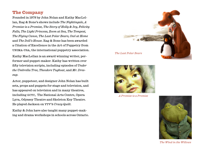#### <span id="page-3-0"></span>**The Company**

Founded in 1978 by John Nolan and Kathy MacLellan, Rag & Bone's shows include *The Nightingale, A Promise is a Promise, The Story of Holly & Ivy, Felicity Falls, The Light Princess, Zoom at Sea, The Tempest, The Flying Canoe, The Last Polar Bears, Owl at Home* and *The Doll's House.* Rag & Bone has been awarded a Citation of Excellence in the Art of Puppetry from unima-usa, the international puppetry association.

Kathy MacLellan is an award winning writer, performer and puppet-maker. Kathy has written over fifty television scripts, including episodes of *Under the Umbrella Tree, Theodore Tugboat*, and *Mr. Dressup.*

Actor, puppeteer, and designer John Nolan has built sets, props and puppets for stage and television, and has appeared on television and in many theatres, including GCTC, The National Arts Centre, Opera Lyra, Odyssey Theatre and Skeleton Key Theatre. He played Jackson on ytv's *Crazy Quilt.*

Kathy & John have also taught many puppet-making and drama workshops in schools across Ontario.





*A Promise is a Promise*



*The Wind in the Willows*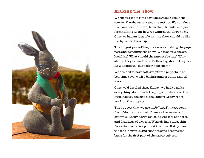

#### **Making the Show**

We spent a lot of time developing ideas about the stories, the characters and the setting. We got ideas from our own children, from their friends, and just from talking about how we wanted the show to be. Once we had an idea of what the show should be like, Kathy wrote the script.

The longest part of the process was making the puppets and designing the show. What should the set look like? What should the puppets be like? What should they be made out of? How big should they be? How should the puppeteer hold them?

We decided to have soft-sculptured puppets, like bed-time toys, with a background of quilts and pillows.

Once we'd decided these things, we had to make everything: John made the props for the show: the little houses, the cloud, the ladder; Kathy set to work on the puppets.

The puppets that we use in *Felicity Falls* are sewn from fabric and stuffed. To make the weasels, for example, Kathy began by looking at lots of photos and drawings of weasels. Weasels have long, thin faces that come to a point at the nose. Kathy drew the face in profile, and that drawing became the basis for the first part of the paper pattern.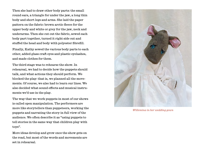Then she had to draw other body parts: the small round ears, a triangle for under the jaw, a long thin body and short legs and arms. She laid the paper pattern on the fabric: brown arctic fleece for the upper body and white or grey for the jaw, neck and underarms. Then she cut out the fabric, sewed each body part together, turned it right side out and stuffed the head and body with polyester fibrefill.

Finally, Kathy sewed the various body parts to each other, added glass craft eyes and plastic eyelashes, and made clothes for them.

The third stage was to rehearse the show. In rehearsal, we had to decide how the puppets should talk, and what actions they should perform. We blocked the play: that is, we planned all the movements. Of course, we also had to learn our lines. We also decided what sound effects and musical instruments we'd use in the play.

The way that we work puppets in most of our shows is called open manipulation. The performers are more like storytellers than puppeteers, working the puppets and narrating the story in full view of the audience. We often describe it as "using puppets to tell stories in the same way that children play with toys".

More ideas develop and grow once the show gets on the road, but most of the words and movements are set in rehearsal.



*Willemina in her wedding gown*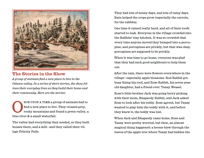<span id="page-6-0"></span>

#### **The Stories in the Show**

*A group of animals find a new place to live in the Ottawa valley. In a series of short stories, the show follows their everyday lives as they build their home and their community. Here are the stories:*

NCE UPON A TIME a group of animals had to<br>find a new place to live. They crossed grey,<br>rocky mountains and found a green valley, a find a new place to live. They crossed grey, rocky mountains and found a green valley, a blue river & a small waterfall.

The valley had everything they needed, so they built houses there, and a mill—and they called their village Felicity Falls.

They had lots of sunny days, and lots of rainy days. Rain helped the crops grow (especially the carrots, for the rabbits).

One time it rained really hard, and all of their roofs started to leak. Everyone in the village crowded into the Rabbits' tiny kitchen. It was so crowded that every time anyone moved they bumped into a porcupine, and porcupines are prickly, but that was okay, porcupines are supposed to be prickly.

When it was time to go home, everyone was glad that they had such good neighbours to help them out.

After the rain, there were flowers everywhere in the village—especially apple blossoms. Rod Rabbit got busy fixing his roof, and Rose Rabbit, his seven year old daughter, had a friend over: Tansy Weasel.

Rose's little brother Jack was going berry picking with their mom, Rhapsody Rabbit, and Jack asked Rose to look after his teddy. Rose agreed, but Tansy wanted to play hide the teddy with it, and before they knew it, the teddy was lost.

When Jack and Rhapsody came home, Rose and Tansy were pretty worried, but then, an almost magical thing happened: a breeze blew through the leaves of the apple tree where Tansy had hidden the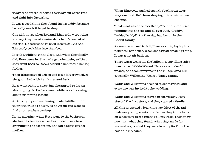teddy. The breeze knocked the teddy out of the tree and right into Jack's lap.

It was a good thing they found Jack's teddy, because he really needs it to get to sleep.

One night, just when Rod and Rhapsody were going to sleep, they heard a noise: Jack had fallen out of his crib. He refused to go back into it, so Rod and Rhapsody took him into their bed.

It took a while to get to sleep, and when they finally did, Rose came in. She had a growing pain, so Rhapsody went back to Rose's bed with her, to rub her leg for her.

Then Rhapsody fell asleep and Rose felt crowded, so she got in bed with her father and Jack.

Rose went right to sleep, but she started to dream about flying. Little Jack meanwhile, was dreaming about swimming lessons.

All this flying and swimming made it difficult for their father Rod to sleep, so he got up and went to find another place to sleep.

In the morning, when Rose went to the bathroom, she heard a terrible noise. It sounded like a bear growling in the bathroom. She ran back to get her mother.

When Rhapsody pushed open the bathroom door, they saw Rod. He'd been sleeping in the bathtub and snoring.

"That's not a bear, that's Daddy!" the children cried, jumping into the tub and all over Rod. "Daddy, Daddy, Daddy!" Another day had begun in the Rabbit family.

As summer turned to fall, Rose was out playing in a field near her house, when she saw an amazing thing. It was a hot air balloon.

There was a weasel in the balloon, a travelling salesman named Waldo Weasel. He was a wonderful weasel, and soon everyone in the village loved him, especially Willemina Weasel, Tansy's aunt.

Waldo and Willemina decided to get married, and everyone was invited to the wedding.

Waldo and Willemina stayed in the village. They started the first store, and they started a family.

All this happened a long time ago. Most of the animals are grandparents now. When they think back on when they first came to Felicity Falls, they know now that what they found, what they made for themselves, is what they were looking for from the beginning: a home.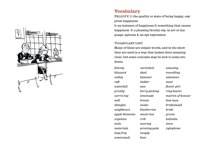<span id="page-8-0"></span>

#### **Vocabulary**

FELICITY: 1: the quality or state of being happy, esp: great happiness

b: an instance of happiness 2: something that causes happiness 3: a pleasing faculty esp. in art or language: aptness 4: an apt expression

#### Vocabulary List:

Many of these are simple words, and in the show they are used in a way that makes their meaning clear, but some concepts may be new to some students.

*felicity blizzard valley raft waterfall prickly carrot top mill shingles neighbours apple blossoms organize tools materials leap frog somersault*

*cartwheel shed hammer ladder saw berry picking lemonade breeze snake blueberries music box crib snoring growing pain snugly bear*

*amazing travelling salesman aunt flower girl ring bearer matron of honour best man bridesmaid bride groom kalimba sieve xylophone*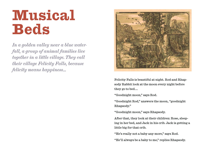### <span id="page-9-0"></span>**Musical Beds**

*In a golden valley near a blue waterfall, a group of animal families live together in a little village. They call their village Felicity Falls, because felicity means happiness...*



Felicity Falls is beautiful at night. Rod and Rhapsody Rabbit look at the moon every night before they go to bed.…

"Goodnight moon," says Rod.

"Goodnight Rod," answers the moon, "goodnight Rhapsody."

"Goodnight moon," says Rhapsody.

After that, they look at their children: Rose, sleeping in her bed, and Jack in his crib. Jack is getting a little big for that crib.

"He's really not a baby any more," says Rod.

"He'll always be a baby to me," replies Rhapsody.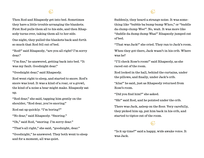#### $\mathbb{G}$

Then Rod and Rhapsody get into bed. Sometimes they have a little trouble arranging the blankets. First Rod pulls them all to his side, and then Rhapsody turns over, taking them all to her side.

One night, they pulled the blankets back and forth so much that Rod fell out of bed.

"Rod!" said Rhapsody, "are you all right? I'm sorry dear."

"I'm fine," he answered, getting back into bed. "It was my fault. Goodnight dear."

"Goodnight dear," said Rhapsody.

Rod went right to sleep, and started to snore. Rod's snore was loud. It was a kind of a roar, or a growl, the kind of a noise a bear might make. Rhapsody sat up.

"Rod dear," she said, tapping him gently on the shoulder, "Rod dear, you're snoring."

Rod sat up quickly. "I'm boring?"

"No dear," said Rhapsody. "Snoring."

"Oh," said Rod, "snoring. I'm sorry dear."

"That's all right," she said, "goodnight, dear."

"Goodnight," he answered. They both went to sleep and for a moment, all was quiet.

Suddenly, they heard a strange noise. It was something like "bubble ba bump bump Whoo," or "buddle da clump clump Wee!". No, wait. It was more like "duddle da dump dump Waa!" Rhapsody jumped out of bed.

"That was Jack!" she cried. They ran to Jack's room.

When they got there, Jack wasn't in his crib. Where was he?

"I'll check Rose's room!" said Rhapsody, as she raced out of the room.

Rod looked in the hall, behind the curtains, under the pillows, and finally, under Jack's crib.

"Aha!" he said, just as Rhapsody returned from Rose's room.

"Did you find him?" she asked.

"Sh!" said Rod, and he pointed under the crib.

There was Jack, asleep on the floor. Very carefully, they picked him up, put him back in his crib, and started to tiptoe out of the room.

#### $\mathbb{G}$

"Is it up time?" said a happy, wide awake voice. It was Jack.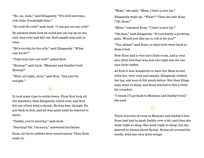"No, no, Jack," said Rhapsody. "It's still bed time, crib time. Goodnight dear."

"No crib! No crib!" said Jack. "I can get out my crib!"

He showed them how he could put one leg up on the rail, lean over and fall out. Rod caught him just in time.

"He's too big for his crib," said Rhapsody. "What can we do?"

"Take him into our bed?" asked Rod.

"Hooray!" said Jack. "Mommy and Daddy's bed! Hooray!"

"Well, all right, Jack," said Rod, "but just for tonight."

#### $\mathbb{G}^*$

It took some time to settle down. First Rod took all the blankets, then Rhapsody rolled over, and Rod fell out of bed with a thunk. He was fine, though. He got back in bed, and all was quiet until he started to snore.

"Daddy, you're snoring," said Jack.

"Snoring? Oh. I'm sorry," answered his father.

Soon, all three rabbits were sound asleep. Then Rose came in.

"Mom," she said, "Mom, I have a sore leg."

Rhapsody woke up. "What?" Then she saw Rose. "Oh, Rose."

"Mom," repeated Rose. "I have a sore leg."

"Oh dear," said Rhapsody. "It's probably a growing pain. Would you like me to rub it for you?"

"Yes, please" said Rose, so they both went back to Rose's bed.

Now Rose had a very nice little room, and a very nice little bed that was just the right size for one nice little rabbit.

At first it was wonderful to have her Mom in bed with her, very cosy and snugly. Rhapsody rubbed her leg, and soon it felt much better. But then Rhapsody went to sleep, and Rose started to feel a little bit crowded.

"I think I'll go back to Mommy and Daddy's bed," she said.

#### $\mathbb{G}^*$

There was lots of room in Mommy and Daddy's bed. Rose just had to push Daddy over a bit, and then she went right to sleep. She went right to sleep, but she started to dream about flying: flying all around the world, with her own little wings.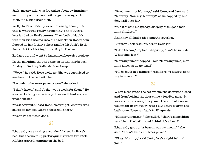Jack, meanwhile, was dreaming about swimming swimming on his back, with a good strong kick: kick, kick, kick kick kick.

Well, that's what they were dreaming about, but this is what was really happening: one of Rose's legs landed on Rod's tummy. Then both of Jack's feet kick kick kicked into his back. Then Rose's arm flopped on her father's chest and he felt Jack's little feet kick kick kicking him softly in the head.

Rod got up, and went to find somewhere else to sleep.

In the morning, the sun came up on another beautiful day in Felicity Falls. Jack woke up.

"Wose!" he said. Rose woke up. She was surprised to see Jack in the bed with her.

"I wonder where our parents are?" she asked.

"I don't know," said Jack, "wet's wook for them." He started looking under the pillows and blankets, and under the bed.

"Wait a minute," said Rose, "last night Mommy was asleep in my bed. Maybe she's still there."

"Wet's go see," said Jack.

#### $\mathbb{G}$

Rhapsody was having a wonderful sleep in Rose's bed, but she woke up pretty quickly when two little rabbits started jumping on the bed.

"Good morning Mommy," said Rose, and Jack said, "Mommy, Mommy, Mommy!" as he hopped up and down all over her.

"What?" said Rhapsody, sleepily. "Oh, good morning children."

And they all had a nice snuggle together.

But then Jack said, "Where's Daddy?"

"I don't know," replied Rhapsody, "Isn't he in bed? What time is it?"

"Morning time!" hopped Jack. "Morning time, morning time, up up up time!"

"I'll be back in a minute," said Rose, "I have to go to the bathroom."

#### $\mathbb{C}^*$

When Rose got to the bathroom, the door was closed and from behind the door came a terrible noise. It was a kind of a roar, or a growl, the kind of a noise you might hear if there was a big, scary bear in the bathroom. Rose ran back to Rhapsody.

"Mommy, mommy!" she called, "there's something terrible in the bathroom! I think it's a bear!"

Rhapsody got up. "A bear in our bathroom?" she said. "I don't think so. Let's go see."

"Okay, Mommy," said Jack, "we're right behind you!"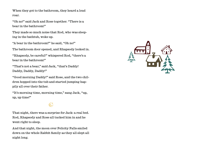When they got to the bathroom, they heard a loud roar.

"Oh no!" said Jack and Rose together. "There is a bear in the bathroom!"

They made so much noise that Rod, who was sleeping in the bathtub, woke up.

"A bear in the bathroom?" he said, "Oh no!"

The bathroom door opened, and Rhapsody looked in.

"Rhapsody, be careful!" whispered Rod, "there's a bear in the bathroom!"

"That's not a bear," said Jack, "that's Daddy! Daddy, Daddy, Daddy!"

"Good morning Daddy!" said Rose, and the two children hopped into the tub and started jumping happily all over their father.

"It's morning time, morning time," sang Jack, "up, up, up time!"

#### $\mathbb{G}$

That night, there was a surprise for Jack: a real bed. Rod, Rhapsody and Rose all tucked him in and he went right to sleep.

And that night, the moon over Felicity Falls smiled down on the whole Rabbit family as they all slept all night long.

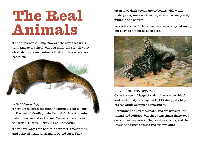### <span id="page-14-0"></span>**The Real Animals**

The animals in *Felicity Falls* are the sort that walk, talk, and go to school, but you might like to tell your class about the real animals that our characters are based on.

#### Weasel *(belette f.)*

There are 67 different kinds of animals that belong to the weasel family, including mink, ferret, ermine, fisher, martin and wolverine. Weasels live all over the world, except Australia and Antarctica.

They have long, thin bodies, short feet, thick necks, and pointed heads with small, round ears. They

often have dark brown upper bodies with white underparts; some northern species turn completely white in the winter.

Weasels are useful to farmers because they eat mice, but they do not make good pets.



Porcupine *(pork-épic, m.)*

Canada's second largest rodent has a stout, black and white body with up to 30,000 sharp, slightly barbed quills on upper parts and tail.

Porcupines do not hibernate, and are usually nocturnal and solitary, but they sometimes share good dens or feeding areas. They eat bark, buds, and the leaves and twigs of trees and other plants.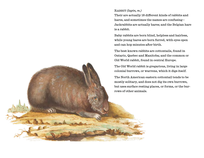#### Rabbit *(lapin, m.)*

Their are actually 18 different kinds of rabbits and hares, and sometimes the names are confusing— Jackrabbits are actually hares; and the Belgian hare is a rabbit.

Baby rabbits are born blind, helpless and hairless, while young hares are born furred, with eyes open and can hop minutes after birth.

The best known rabbits are cottontails, found in Ontario, Quebec and Manitoba; and the common or Old World rabbit, found in central Europe.

The Old World rabbit is gregarious, living in large colonial burrows, or warrens, which it digs itself.

The North American eastern cottontail tends to be mostly solitary, and does not dig its own burrows, but uses surface resting places, or forms, or the burrows of other animals.